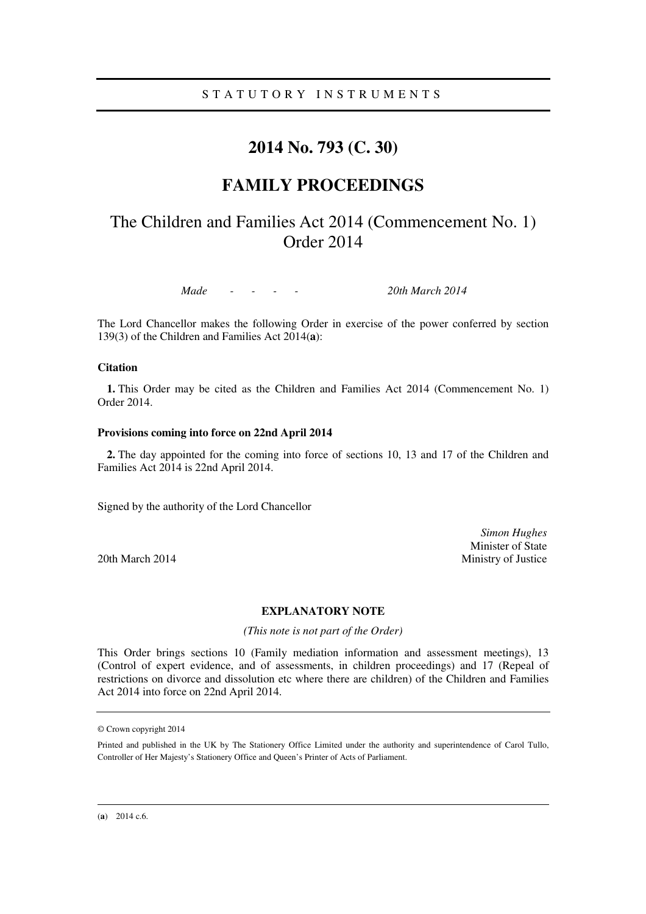### S T A T U T O R Y I N S T R U M E N T S

## **2014 No. 793 (C. 30)**

## **FAMILY PROCEEDINGS**

# The Children and Families Act 2014 (Commencement No. 1) Order 2014

*Made - - - - 20th March 2014* 

The Lord Chancellor makes the following Order in exercise of the power conferred by section 139(3) of the Children and Families Act 2014(**a**):

### **Citation**

**1.** This Order may be cited as the Children and Families Act 2014 (Commencement No. 1) Order 2014.

#### **Provisions coming into force on 22nd April 2014**

**2.** The day appointed for the coming into force of sections 10, 13 and 17 of the Children and Families Act 2014 is 22nd April 2014.

Signed by the authority of the Lord Chancellor

*Simon Hughes*  Minister of State 20th March 2014 Ministry of Justice

### **EXPLANATORY NOTE**

*(This note is not part of the Order)* 

This Order brings sections 10 (Family mediation information and assessment meetings), 13 (Control of expert evidence, and of assessments, in children proceedings) and 17 (Repeal of restrictions on divorce and dissolution etc where there are children) of the Children and Families Act 2014 into force on 22nd April 2014.

<u>.</u>

<sup>©</sup> Crown copyright 2014

Printed and published in the UK by The Stationery Office Limited under the authority and superintendence of Carol Tullo, Controller of Her Majesty's Stationery Office and Queen's Printer of Acts of Parliament.